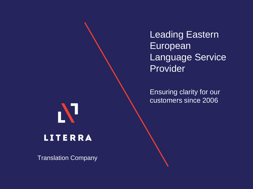Leading Eastern European Language Service Provider

Ensuring clarity for our customers since 2006



N

Translation Company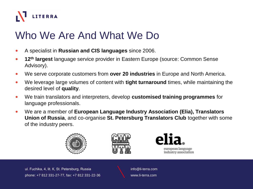

## Who We Are And What We Do

- A specialist in **Russian and CIS languages** since 2006.
- **12th largest** language service provider in Eastern Europe (source: Common Sense Advisory).
- We serve corporate customers from **over 20 industries** in Europe and North America.
- We leverage large volumes of content with **tight turnaround** times, while maintaining the desired level of **quality**.
- We train translators and interpreters, develop **customised training programmes** for language professionals.
- We are a member of **European Language Industry Association (Elia), Translators Union of Russia**, and co-organise **St. Petersburg Translators Club** together with some of the industry peers.







european language industry association

ul. Fuchika, 4, lit. К, St. Petersburg, Russia phone: +7 812 331-27-77, fax: +7 812 331-22-36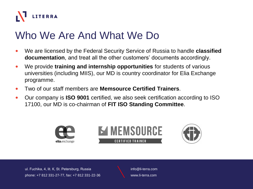

## Who We Are And What We Do

- We are licensed by the Federal Security Service of Russia to handle **classified documentation**, and treat all the other customers' documents accordingly.
- We provide **training and internship opportunities** for students of various universities (including MIIS), our MD is country coordinator for Elia Exchange programme.
- Two of our staff members are **Memsource Certified Trainers**.
- Our company is **ISO 9001** certified, we also seek certification according to ISO 17100, our MD is co-chairman of **FIT ISO Standing Committee**.



ul. Fuchika, 4, lit. К, St. Petersburg, Russia phone: +7 812 331-27-77, fax: +7 812 331-22-36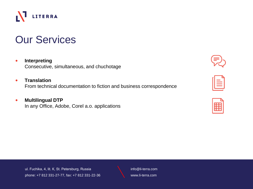

info@li-terra.com www.li-terra.com

# Our Services

LITERRA

### • **Interpreting**

r/1

Consecutive, simultaneous, and chuchotage

### • **Translation**

From technical documentation to fiction and business correspondence

### • **Multilingual DTP** In any Office, Adobe, Corel a.o. applications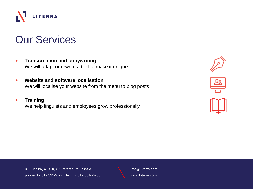

### Our Services

- **Transcreation and copywriting** We will adapt or rewrite a text to make it unique
- **Website and software localisation** We will localise your website from the menu to blog posts
- **Training** We help linguists and employees grow professionally







ul. Fuchika, 4, lit. К, St. Petersburg, Russia phone: +7 812 331-27-77, fax: +7 812 331-22-36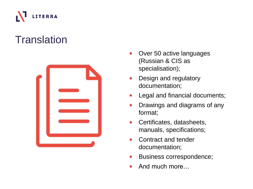

## **Translation**



- Over 50 active languages (Russian & CIS as specialisation);
- Design and regulatory documentation;
- Legal and financial documents;
- Drawings and diagrams of any format;
- Certificates, datasheets, manuals, specifications;
- Contract and tender documentation;
- Business correspondence;
- And much more…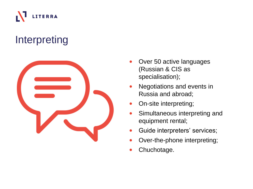

## Interpreting



- Over 50 active languages (Russian & CIS as specialisation);
- Negotiations and events in Russia and abroad;
- On-site interpreting;
- Simultaneous interpreting and equipment rental;
- Guide interpreters' services;
- Over-the-phone interpreting;
- Chuchotage.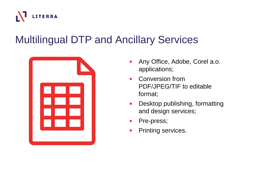

## Multilingual DTP and Ancillary Services



- Any Office, Adobe, Corel a.o. applications;
- Conversion from PDF/JPEG/TIF to editable format;
- Desktop publishing, formatting and design services;
- Pre-press;
- Printing services.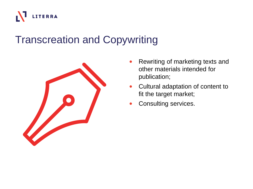

## Transcreation and Copywriting



- Rewriting of marketing texts and other materials intended for publication;
- Cultural adaptation of content to fit the target market;
- Consulting services.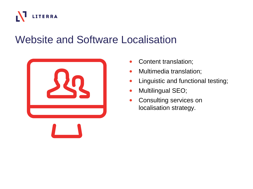

## Website and Software Localisation



- Content translation;
- Multimedia translation;
- Linguistic and functional testing;
- Multilingual SEO;
- Consulting services on localisation strategy.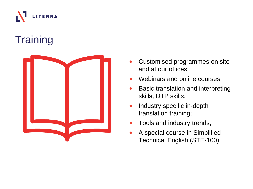

## **Training**



- Customised programmes on site and at our offices;
- Webinars and online courses;
- Basic translation and interpreting skills, DTP skills;
- Industry specific in-depth translation training;
- Tools and industry trends;
- A special course in Simplified Technical English (STE -100).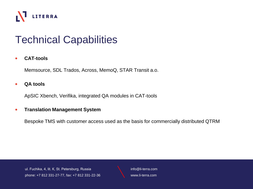

## Technical Capabilities

### • **CAT-tools**

Memsource, SDL Trados, Across, MemoQ, STAR Transit a.o.

### • **QA tools**

ApSIC Xbench, Verifika, integrated QA modules in CAT-tools

### • **Translation Management System**

Bespoke TMS with customer access used as the basis for commercially distributed QTRM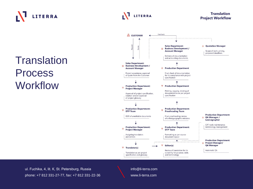## LITERRA

**Translation** 

Process

**Workflow** 

#### Feedback & CUSTOMER gednes **Sales Department: O** Quotation Manager  $\Box$ **Business Development /** Scope of work, pricing, **Account Manager** proposed deadlines Delivery of documentation and accounting documents **Sales Department: Business Development /** O Production Department **Account Manager** Project acceptance, approval Final check of documentation of quote from the Customer for its compliance with project specification **Production Department:**  $\nabla$  Production Department  $\circ$ **Project Manager** Printing, copying, binding of documentation as per project Approval of project specification, specification creation and/or approval of project glossary **Production Department: Production Department:**  $\boldsymbol{\nabla}$  $\triangledown$ **DTP Team Proofreading Team Production Department:** OCR of uneditable documents Final proofreading: review QA Manager /  $\Omega$ of orthotypographic mistakes Lexicographer CAT-tools maintenance, **Production Department: Production Department:** terminology management  $\circ$  $\triangledown$ **DTP Team Project Manager** Assigning translators Formatting as per source document layout and editors **Production Department:** ▲ **Project Manager/**  $\circ$  $\overline{\nabla}$ Editor(s) **QA Manager**  $\nabla$  Translator(s) Review of translation for its Automatic QA Translation as per project suitability for purpose, style, specification and glossary and terminology

**Translation** 

**Project Workflow** 

ul. Fuchika, 4, lit. К, St. Petersburg, Russia phone: +7 812 331-27-77, fax: +7 812 331-22-36 info@li-terra.com www.li-terra.com

**LITERRA**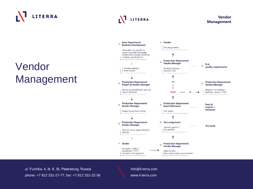

## Vendor Management



ul. Fuchika, 4, lit. К, St. Petersburg, Russia phone: +7 812 331-27-77, fax: +7 812 331-22-36 info@li-terra.com www.li-terra.com

LITERRA

#### Vendor **Management**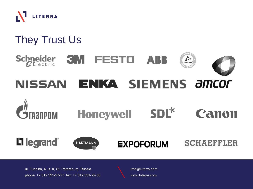

## They Trust Us



### $SDL^*$ **Honeywell** Canon

## L'I legrand<sup>®</sup>



### **EXPOFORUM**

**SCHAEFFLER** 

ul. Fuchika, 4, lit. К, St. Petersburg, Russia phone: +7 812 331-27-77, fax: +7 812 331-22-36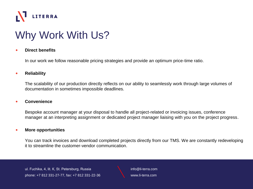

## Why Work With Us?

### • **Direct benefits**

In our work we follow reasonable pricing strategies and provide an optimum price-time ratio.

### • **Reliability**

The scalability of our production directly reflects on our ability to seamlessly work through large volumes of documentation in sometimes impossible deadlines.

#### • **Convenience**

Bespoke account manager at your disposal to handle all project-related or invoicing issues, conference manager at an interpreting assignment or dedicated project manager liaising with you on the project progress.

#### • **More opportunities**

You can track invoices and download completed projects directly from our TMS. We are constantly redeveloping it to streamline the customer-vendor communication.

ul. Fuchika, 4, lit. К, St. Petersburg, Russia phone: +7 812 331-27-77, fax: +7 812 331-22-36